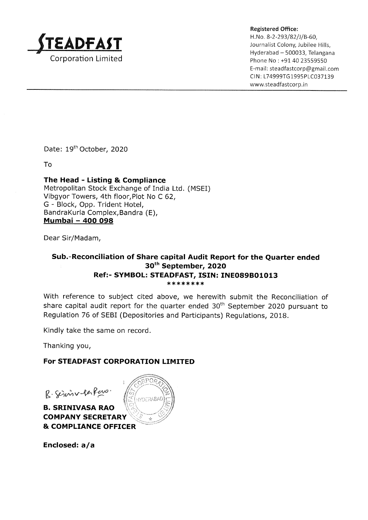

Registered Office:

H. No. 8-2-293/82/J/B-60, Journalist Colony, Jubilee Hills, Hyderabad - 500033, Telangana Phone No : +91 40 23559550 E-mail: steadfastcorp@gmail.com CIN: L74999TG1995PLC037139 www.steadfastcorp.in

Date: 19<sup>th</sup> October, 2020

To

## The Head - Listing & Compliance Metropolitan Stock Exchange of India Ltd. (MSEI) Vibgyor Towers, 4th floor,Plot No C 62, G - Block, Opp. Trident Hotel, BandraKurla Complex,Bandra (E), Mumbai - 4OO O98

Dear Sir/Madam,

## Sub.-Reconciliation of Share capital Audit Report for the Quarter ended , 3oth September, 2O2O Ref:- SYMBOL: STEADFAST, ISIN: INE089B01013 \*\*\*\*\*\*\*\*

With reference to subject cited above, we herewith submit the Reconciliation of share capital audit report for the quarter ended  $30<sup>th</sup>$  September 2020 pursuant to Regulation 76 of SEBI (Depositories and Participants) Regulations, 2018.

Kindly take the same on record.

Thanking you,

## For STEADFAST CORPORATION LIMITED

 $\overline{y}$ 

ir

B. Siniv fare

B. SRINIVASA RAO COMPANY SECRETAR Y o)<br>{{| <sub>HYDERABAD</sub>  $\mathbb{C}^2$ & COMPLIANCE OFFICER

Enclosed: a/a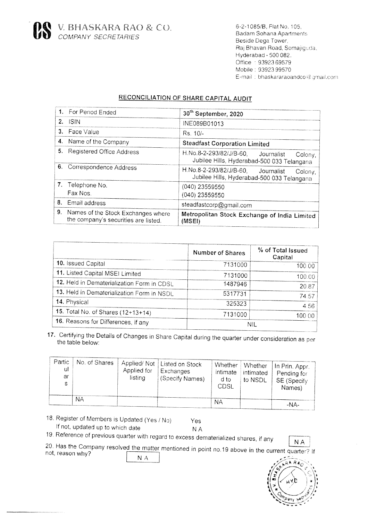

6-2-1085/B, Flat No. 105, **Badam Sohana Apartments** Beside Dega Tower, Raj Bhavan Road, Somajiquda. Hyderabad - 500 082. Office: 93923 69579 Mobile: 93923 99570 E-mail: bhaskararaoandco@gmail.com

## **RECONCILIATION OF SHARE CAPITAL AUDIT**

|    | 1. For Period Ended                                                        | 30 <sup>th</sup> September, 2020                                                            |  |  |  |
|----|----------------------------------------------------------------------------|---------------------------------------------------------------------------------------------|--|--|--|
|    | $2.$ ISIN                                                                  | INE089B01013                                                                                |  |  |  |
|    | 3. Face Value                                                              | $Rs.10/-$                                                                                   |  |  |  |
|    | 4. Name of the Company                                                     | <b>Steadfast Corporation Limited</b>                                                        |  |  |  |
|    | 5. Registered Office Address                                               | H.No.8-2-293/82/J/B-60, Journalist<br>Colony,<br>Jubilee Hills, Hyderabad-500 033 Telangana |  |  |  |
|    | 6. Correspondence Address                                                  | H.No.8-2-293/82/J/B-60, Journalist<br>Colony,<br>Jubilee Hills, Hyderabad-500 033 Telangana |  |  |  |
|    | 7. Telephone No.<br>Fax Nos.                                               | $(040)$ 23559550<br>(040) 23559550                                                          |  |  |  |
|    | 8. Email address                                                           | steadfastcorp@gmail.com                                                                     |  |  |  |
| 9. | Names of the Stock Exchanges where<br>the company's securities are listed. | Metropolitan Stock Exchange of India Limited<br>(MSEI)                                      |  |  |  |

|                                            | Number of Shares | % of Total Issued<br>Capital |
|--------------------------------------------|------------------|------------------------------|
| 10. Issued Capital                         | 7131000          | 100.00                       |
| 11. Listed Capital MSEI Limited            | 7131000          | 100.00                       |
| 12. Held in Dematerialization Form in CDSL | 1487946          | 20.87                        |
| 13. Held in Dematerialization Form in NSDL | 5317731          | 74.57                        |
| 14. Physical                               | 325323           | 4.56                         |
| 15. Total No. of Shares (12+13+14)         | 7131000          | 100,00                       |
| 16. Reasons for Differences, if any        | NII.             |                              |

17. Certifying the Details of Changes in Share Capital during the quarter under consideration as per the table below:

| Partic<br>ul<br>ar<br>e | No. of Shares | Applied for<br>listing | Applied/Not   Listed on Stock<br>Exchanges<br>(Specify Names) | Whether<br>intimate<br>d to<br>CDSL | <b>Whether</b><br>intimated<br>to NSDL | In Prin. Appr.<br>Pending for<br>SE (Specify<br>Names) |
|-------------------------|---------------|------------------------|---------------------------------------------------------------|-------------------------------------|----------------------------------------|--------------------------------------------------------|
|                         | NΑ            |                        |                                                               | NА                                  |                                        | -NA-                                                   |

18. Register of Members is Updated (Yes / No) If not, updated up to which date

Yes **NA** 

19. Reference of previous quarter with regard to excess dematerialized shares, if any

**NA** 

20. Has the Company resolved the matter mentioned in point no.19 above in the current quarter? If not, reason why? N A